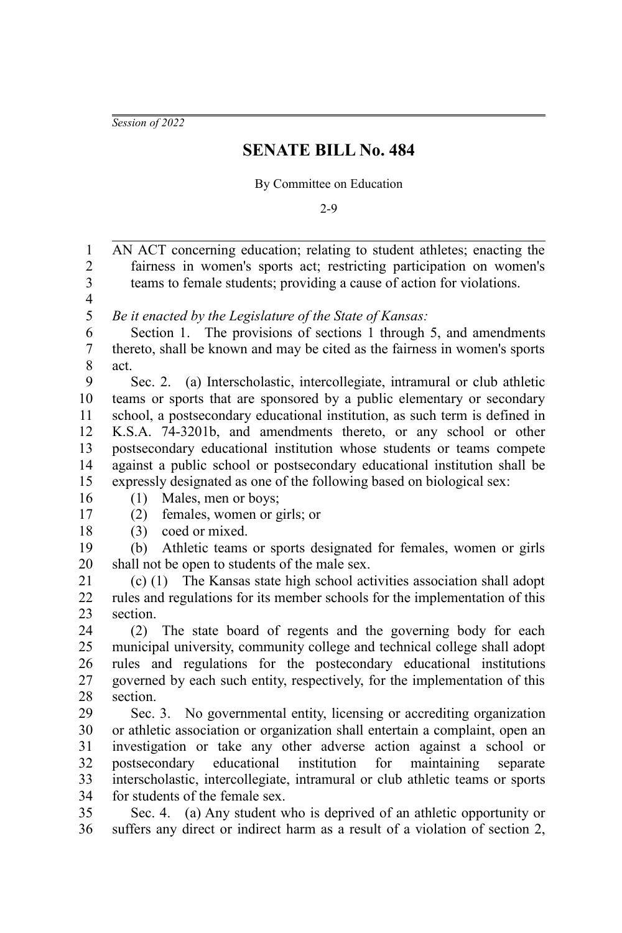*Session of 2022*

## **SENATE BILL No. 484**

## By Committee on Education

2-9

AN ACT concerning education; relating to student athletes; enacting the fairness in women's sports act; restricting participation on women's teams to female students; providing a cause of action for violations. *Be it enacted by the Legislature of the State of Kansas:* Section 1. The provisions of sections 1 through 5, and amendments thereto, shall be known and may be cited as the fairness in women's sports act. Sec. 2. (a) Interscholastic, intercollegiate, intramural or club athletic teams or sports that are sponsored by a public elementary or secondary school, a postsecondary educational institution, as such term is defined in K.S.A. 74-3201b, and amendments thereto, or any school or other postsecondary educational institution whose students or teams compete against a public school or postsecondary educational institution shall be expressly designated as one of the following based on biological sex: (1) Males, men or boys; (2) females, women or girls; or (3) coed or mixed. (b) Athletic teams or sports designated for females, women or girls shall not be open to students of the male sex. (c) (1) The Kansas state high school activities association shall adopt rules and regulations for its member schools for the implementation of this section. (2) The state board of regents and the governing body for each municipal university, community college and technical college shall adopt rules and regulations for the postecondary educational institutions governed by each such entity, respectively, for the implementation of this section. Sec. 3. No governmental entity, licensing or accrediting organization or athletic association or organization shall entertain a complaint, open an investigation or take any other adverse action against a school or postsecondary educational institution for maintaining separate interscholastic, intercollegiate, intramural or club athletic teams or sports for students of the female sex. Sec. 4. (a) Any student who is deprived of an athletic opportunity or suffers any direct or indirect harm as a result of a violation of section 2, 1 2 3 4 5 6 7 8 9 10 11 12 13 14 15 16 17 18 19 20 21 22 23  $24$ 25 26 27 28  $29$ 30 31 32 33 34 35 36